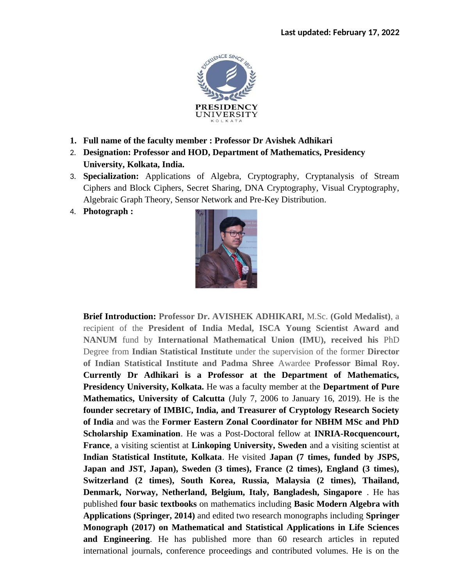

- **1. Full name of the faculty member : Professor Dr Avishek Adhikari**
- 2. **Designation: Professor and HOD, Department of Mathematics, Presidency University, Kolkata, India.**
- 3. **Specialization:** Applications of Algebra, Cryptography, Cryptanalysis of Stream Ciphers and Block Ciphers, Secret Sharing, DNA Cryptography, Visual Cryptography, Algebraic Graph Theory, Sensor Network and Pre-Key Distribution.
- 4. **Photograph :**



**Brief Introduction: Professor Dr. AVISHEK ADHIKARI,** M.Sc. **(Gold Medalist)**, a recipient of the **President of India Medal, ISCA Young Scientist Award and NANUM** fund by **International Mathematical Union (IMU), received his** PhD Degree from **Indian Statistical Institute** under the supervision of the former **Director of Indian Statistical Institute and Padma Shree** Awardee **Professor Bimal Roy. Currently Dr Adhikari is a Professor at the Department of Mathematics, Presidency University, Kolkata.** He was a faculty member at the **Department of Pure Mathematics, University of Calcutta** (July 7, 2006 to January 16, 2019). He is the **founder secretary of IMBIC, India, and Treasurer of Cryptology Research Society of India** and was the **Former Eastern Zonal Coordinator for NBHM MSc and PhD Scholarship Examination**. He was a Post-Doctoral fellow at **INRIA-Rocquencourt, France**, a visiting scientist at **Linkoping University, Sweden** and a visiting scientist at **Indian Statistical Institute, Kolkata**. He visited **Japan (7 times, funded by JSPS, Japan and JST, Japan), Sweden (3 times), France (2 times), England (3 times), Switzerland (2 times), South Korea, Russia, Malaysia (2 times), Thailand, Denmark, Norway, Netherland, Belgium, Italy, Bangladesh, Singapore** . He has published **four basic textbooks** on mathematics including **Basic Modern Algebra with Applications (Springer, 2014)** and edited two research monographs including **Springer Monograph (2017) on Mathematical and Statistical Applications in Life Sciences and Engineering**. He has published more than 60 research articles in reputed international journals, conference proceedings and contributed volumes. He is on the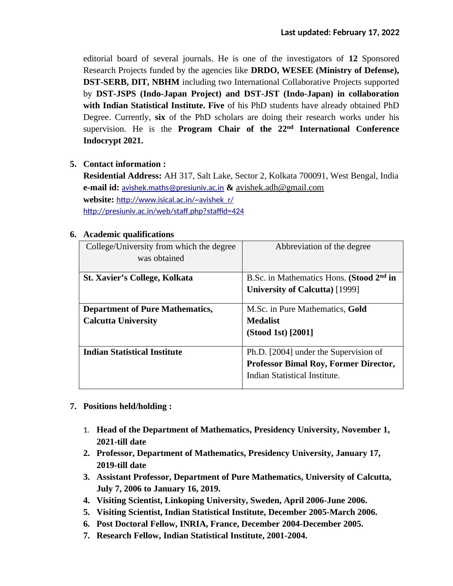editorial board of several journals. He is one of the investigators of **12** Sponsored Research Projects funded by the agencies like **DRDO, WESEE (Ministry of Defense), DST-SERB, DIT, NBHM** including two International Collaborative Projects supported by **DST-JSPS (Indo-Japan Project) and DST-JST (Indo-Japan) in collaboration with Indian Statistical Institute. Five** of his PhD students have already obtained PhD Degree. Currently, **six** of the PhD scholars are doing their research works under his supervision. He is the **Program Chair of the 22nd International Conference Indocrypt 2021.**

## **5. Contact information :**

**Residential Address:** AH 317, Salt Lake, Sector 2, Kolkata 700091, West Bengal, India **e-mail id:** [avishek.maths@presiuniv.ac.in](mailto:avishek.maths@presiuniv.ac.in) **&** [avishek.adh@gmail.com](mailto:avishek.adh@gmail.com) website: http://www.isical.ac.in/~avishek\_r/ http://presiuniv.ac.in/web/staff.php?staffid=424

| r readenne quanneauons                   |                                                      |  |
|------------------------------------------|------------------------------------------------------|--|
| College/University from which the degree | Abbreviation of the degree                           |  |
| was obtained                             |                                                      |  |
|                                          |                                                      |  |
| <b>St. Xavier's College, Kolkata</b>     | B.Sc. in Mathematics Hons. (Stood 2 <sup>nd</sup> in |  |
|                                          | <b>University of Calcutta)</b> [1999]                |  |
|                                          |                                                      |  |
| <b>Department of Pure Mathematics,</b>   | M.Sc. in Pure Mathematics, Gold                      |  |
| <b>Calcutta University</b>               | Medalist                                             |  |
|                                          | (Stood 1st) [2001]                                   |  |
|                                          |                                                      |  |
| <b>Indian Statistical Institute</b>      | Ph.D. [2004] under the Supervision of                |  |
|                                          | <b>Professor Bimal Roy, Former Director,</b>         |  |
|                                          | Indian Statistical Institute.                        |  |
|                                          |                                                      |  |

## **6. Academic qualifications**

- **7. Positions held/holding :**
	- 1. **Head of the Department of Mathematics, Presidency University, November 1, 2021-till date**
	- **2. Professor, Department of Mathematics, Presidency University, January 17, 2019-till date**
	- **3. Assistant Professor, Department of Pure Mathematics, University of Calcutta, July 7, 2006 to January 16, 2019.**
	- **4. Visiting Scientist, Linkoping University, Sweden, April 2006-June 2006.**
	- **5. Visiting Scientist, Indian Statistical Institute, December 2005-March 2006.**
	- **6. Post Doctoral Fellow, INRIA, France, December 2004-December 2005.**
	- **7. Research Fellow, Indian Statistical Institute, 2001-2004.**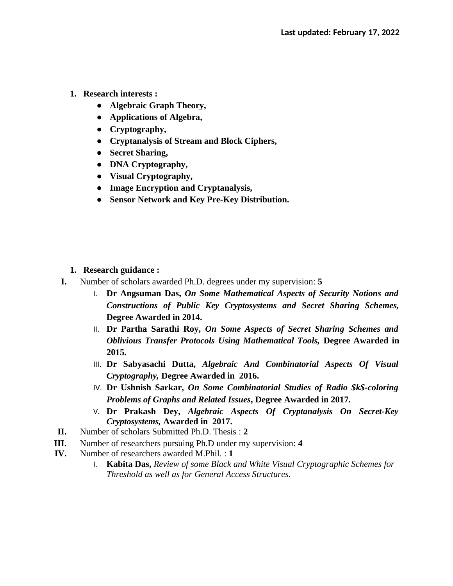- **1. Research interests :**
	- **Algebraic Graph Theory,**
	- **Applications of Algebra,**
	- **Cryptography,**
	- **Cryptanalysis of Stream and Block Ciphers,**
	- **Secret Sharing,**
	- **DNA Cryptography,**
	- **Visual Cryptography,**
	- **Image Encryption and Cryptanalysis,**
	- **Sensor Network and Key Pre-Key Distribution.**

- **1. Research guidance :**
- **I.** Number of scholars awarded Ph.D. degrees under my supervision: **5**
	- I. **Dr Angsuman Das,** *On Some Mathematical Aspects of Security Notions and Constructions of Public Key Cryptosystems and Secret Sharing Schemes,* **Degree Awarded in 2014.**
	- II. **Dr Partha Sarathi Roy,** *On Some Aspects of Secret Sharing Schemes and Oblivious Transfer Protocols Using Mathematical Tools,* **Degree Awarded in 2015.**
	- III. **Dr Sabyasachi Dutta,** *Algebraic And Combinatorial Aspects Of Visual Cryptography,* **Degree Awarded in 2016.**
	- IV. **Dr Ushnish Sarkar,** *On Some Combinatorial Studies of Radio \$k\$-coloring Problems of Graphs and Related Issues***, Degree Awarded in 2017.**
	- V. **Dr Prakash Dey,** *Algebraic Aspects Of Cryptanalysis On Secret-Key Cryptosystems,* **Awarded in 2017.**
- **II.** Number of scholars Submitted Ph.D. Thesis : **2**
- **III.** Number of researchers pursuing Ph.D under my supervision: **4**
- **IV.** Number of researchers awarded M.Phil. : **1**
	- I. **Kabita Das,** *Review of some Black and White Visual Cryptographic Schemes for Threshold as well as for General Access Structures.*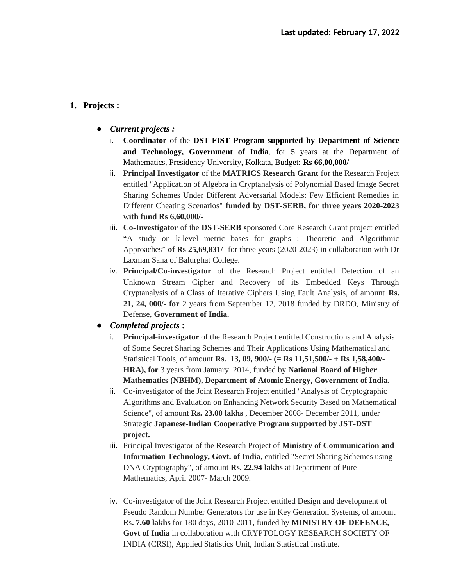## **1. Projects :**

- **●** *Current projects :*
	- i. **Coordinator** of the **DST-FIST Program supported by Department of Science and Technology, Government of India**, for 5 years at the Department of Mathematics, Presidency University, Kolkata, Budget: **Rs 66,00,000/-**
	- ii. **Principal Investigator** of the **MATRICS Research Grant** for the Research Project entitled "Application of Algebra in Cryptanalysis of Polynomial Based Image Secret Sharing Schemes Under Different Adversarial Models: Few Efficient Remedies in Different Cheating Scenarios" **funded by DST-SERB, for three years 2020-2023 with fund Rs 6,60,000/-**
	- iii. **Co-Investigator** of the **DST-SERB s**ponsored Core Research Grant project entitled "A study on k-level metric bases for graphs : Theoretic and Algorithmic Approaches" **of Rs 25,69,831/-** for three years (2020-2023) in collaboration with Dr Laxman Saha of Balurghat College.
	- iv. **Principal/Co-investigator** of the Research Project entitled Detection of an Unknown Stream Cipher and Recovery of its Embedded Keys Through Cryptanalysis of a Class of Iterative Ciphers Using Fault Analysis, of amount **Rs. 21, 24, 000/- for** 2 years from September 12, 2018 funded by DRDO, Ministry of Defense, **Government of India.**
- **●** *Completed projects* **:**
	- i. **Principal-investigator** of the Research Project entitled Constructions and Analysis of Some Secret Sharing Schemes and Their Applications Using Mathematical and Statistical Tools, of amount **Rs. 13, 09, 900/- (= Rs 11,51,500/- + Rs 1,58,400/- HRA), for** 3 years from January, 2014, funded by **National Board of Higher Mathematics (NBHM), Department of Atomic Energy, Government of India.**
	- ii. Co-investigator of the Joint Research Project entitled "Analysis of Cryptographic Algorithms and Evaluation on Enhancing Network Security Based on Mathematical Science", of amount **Rs. 23.00 lakhs** , December 2008- December 2011, under Strategic **Japanese-Indian Cooperative Program supported by JST-DST project.**
	- iii. Principal Investigator of the Research Project of **Ministry of Communication and Information Technology, Govt. of India**, entitled "Secret Sharing Schemes using DNA Cryptography", of amount **Rs. 22.94 lakhs** at Department of Pure Mathematics, April 2007- March 2009.
	- iv. Co-investigator of the Joint Research Project entitled Design and development of Pseudo Random Number Generators for use in Key Generation Systems, of amount Rs**. 7.60 lakhs** for 180 days, 2010-2011, funded by **MINISTRY OF DEFENCE, Govt of India** in collaboration with CRYPTOLOGY RESEARCH SOCIETY OF INDIA (CRSI), Applied Statistics Unit, Indian Statistical Institute.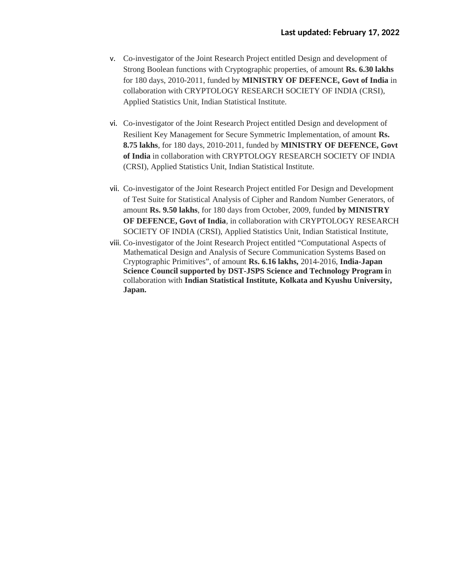- v. Co-investigator of the Joint Research Project entitled Design and development of Strong Boolean functions with Cryptographic properties, of amount **Rs. 6.30 lakhs** for 180 days, 2010-2011, funded by **MINISTRY OF DEFENCE, Govt of India** in collaboration with CRYPTOLOGY RESEARCH SOCIETY OF INDIA (CRSI), Applied Statistics Unit, Indian Statistical Institute.
- vi. Co-investigator of the Joint Research Project entitled Design and development of Resilient Key Management for Secure Symmetric Implementation, of amount **Rs. 8.75 lakhs**, for 180 days, 2010-2011, funded by **MINISTRY OF DEFENCE, Govt of India** in collaboration with CRYPTOLOGY RESEARCH SOCIETY OF INDIA (CRSI), Applied Statistics Unit, Indian Statistical Institute.
- vii. Co-investigator of the Joint Research Project entitled For Design and Development of Test Suite for Statistical Analysis of Cipher and Random Number Generators, of amount **Rs. 9.50 lakhs**, for 180 days from October, 2009, funded **by MINISTRY OF DEFENCE, Govt of India**, in collaboration with CRYPTOLOGY RESEARCH SOCIETY OF INDIA (CRSI), Applied Statistics Unit, Indian Statistical Institute,
- viii. Co-investigator of the Joint Research Project entitled "Computational Aspects of Mathematical Design and Analysis of Secure Communication Systems Based on Cryptographic Primitives", of amount **Rs. 6.16 lakhs,** 2014-2016, **India-Japan Science Council supported by DST-JSPS Science and Technology Program i**n collaboration with **Indian Statistical Institute, Kolkata and Kyushu University, Japan.**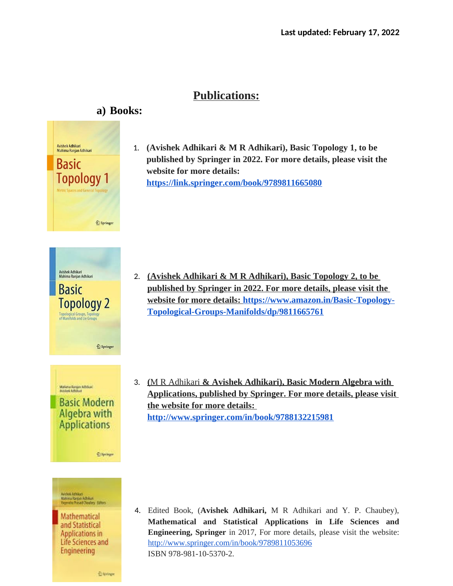## **Publications:**

# **a) Books:**



1. **(Avishek Adhikari & M R Adhikari), Basic Topology 1, to be published by Springer in 2022. For more details, please visit the website for more details: <https://link.springer.com/book/9789811665080>**

- 2. (Avishek Adhikari & M R Adhikari), Basic Topology 2, to be  **published by Springer in 2022 . For more details, please visit the website for more details: https://www.amazon.in/Basic-Topology-Topological-Groups-Manifolds/dp/9811665761**
- 3. **(** M R Adhikari **& Avishek Adhikari ), Basic Modern Algebra with Applications, published by Springer. For more details, please visit the website for more details: <http://www.springer.com/in/book/9788132215981>**

4. Edited Book, (**Avishek Adhikari,** M R Adhikari and Y. P. Chaubey), **Mathematical and Statistical Applications in Life Sciences and Engineering, Springer** in 2017, For more details, please visit the website: <http://www.springer.com/in/book/9789811053696> ISBN 978-981-10-5370-2.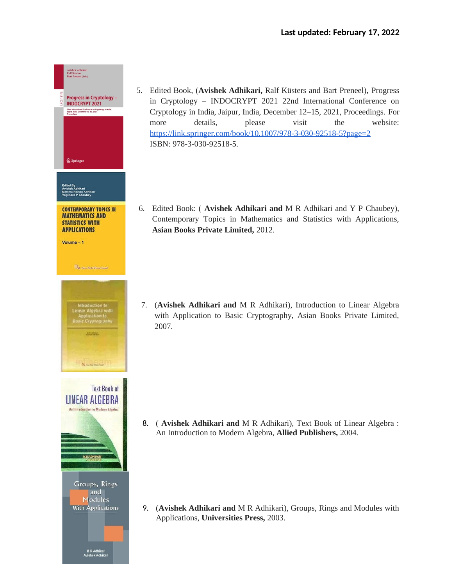

- 5. Edited Book, (**Avishek Adhikari,** Ralf Küsters and Bart Preneel), Progress in Cryptology – INDOCRYPT 2021 22nd International Conference on Cryptology in India, Jaipur, India, December 12–15, 2021, Proceedings. For more details, please visit the website: https://link.springer.com/book/10.1007/978-3-030-92518-5?page=2 ISBN: 978-3-030-92518-5.
- 6. Edited Book: ( **Avishek Adhikari and** M R Adhikari and Y P Chaubey), Contemporary Topics in Mathematics and Statistics with Applications, **Asian Books Private Limited,** 2012.

7. (**Avishek Adhikari and** M R Adhikari), Introduction to Linear Algebra with Application to Basic Cryptography, Asian Books Private Limited, 2007.

8. ( **Avishek Adhikari and** M R Adhikari), Text Book of Linear Algebra : An Introduction to Modern Algebra, **Allied Publishers,** 2004.

9. (**Avishek Adhikari and** M R Adhikari), Groups, Rings and Modules with Applications, **Universities Press,** 2003.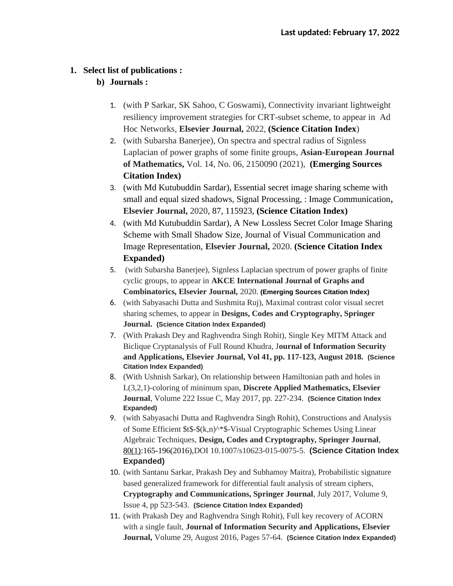#### **1. Select list of publications :**

## **b) Journals :**

- 1. (with P Sarkar, SK Sahoo, C Goswami), Connectivity invariant lightweight resiliency improvement strategies for CRT-subset scheme, to appear in Ad Hoc Networks, **Elsevier Journal,** 2022, **(Science Citation Index**)
- 2. (with Subarsha Banerjee), On spectra and spectral radius of Signless Laplacian of power graphs of some finite groups, **Asian-European Journal of Mathematics,** Vol. 14, No. 06, 2150090 (2021), **(Emerging Sources Citation Index)**
- 3. (with Md Kutubuddin Sardar), Essential secret image sharing scheme with small and equal sized shadows, Signal Processing, : Image Communication**, Elsevier Journal,** 2020, 87, 115923, **(Science Citation Index)**
- 4. (with Md Kutubuddin Sardar), A New Lossless Secret Color Image Sharing Scheme with Small Shadow Size, Journal of Visual Communication and Image Representation, **Elsevier Journal,** 2020. **(Science Citation Index Expanded)**
- 5. (with Subarsha Banerjee), Signless Laplacian spectrum of power graphs of finite cyclic groups, to appear in **AKCE International Journal of Graphs and Combinatorics, Elsevier Journal,** 2020. **(Emerging Sources Citation Index)**
- 6. (with Sabyasachi Dutta and Sushmita Ruj), Maximal contrast color visual secret sharing schemes, to appear in **Designs, Codes and Cryptography, Springer Journal. (Science Citation Index Expanded)**
- 7. (With Prakash Dey and Raghvendra Singh Rohit), Single Key MITM Attack and Biclique Cryptanalysis of Full Round Khudra, J**ournal of Information Security and Applications, Elsevier Journal, Vol 41, pp. 117-123, August 2018. (Science Citation Index Expanded)**
- 8. (With Ushnish Sarkar), On relationship between Hamiltonian path and holes in L(3,2,1)-coloring of minimum span, **Discrete Applied Mathematics, Elsevier Journal**, Volume 222 Issue C, May 2017, pp. 227-234. **(Science Citation Index Expanded)**
- 9. (with Sabyasachi Dutta and Raghvendra Singh Rohit), Constructions and Analysis of Some Efficient \$t\$-\$(k,n)^\*\$-Visual Cryptographic Schemes Using Linear Algebraic Techniques, **Design, Codes and Cryptography, Springer Journal**, [80\(1\)](http://dblp.uni-trier.de/db/journals/dcc/dcc80.html#DuttaRA16):165-196(2016),DOI 10.1007/s10623-015-0075-5. **(Science Citation Index Expanded)**
- 10. (with Santanu Sarkar, Prakash Dey and Subhamoy Maitra), Probabilistic signature based generalized framework for differential fault analysis of stream ciphers, **Cryptography and Communications, Springer Journal**, July 2017, Volume 9, Issue 4, pp 523-543. **(Science Citation Index Expanded)**
- 11. (with Prakash Dey and Raghvendra Singh Rohit), Full key recovery of ACORN with a single fault, **Journal of Information Security and Applications, Elsevier Journal,** Volume 29, August 2016, Pages 57-64. **(Science Citation Index Expanded)**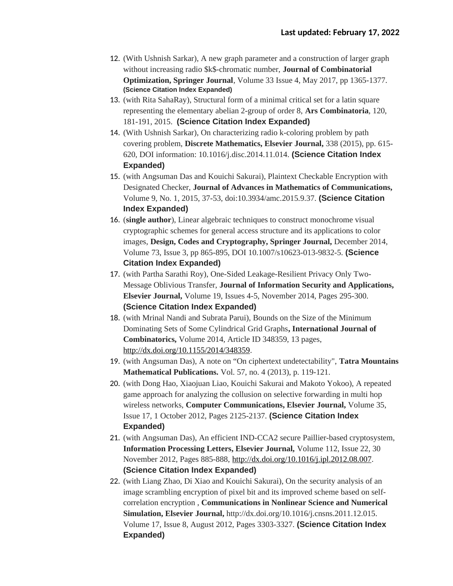- 12. (With Ushnish Sarkar), A new graph parameter and a construction of larger graph without increasing radio \$k\$-chromatic number, **Journal of Combinatorial Optimization, Springer Journal**, Volume 33 Issue 4, May 2017, pp 1365-1377. **(Science Citation Index Expanded)**
- 13. (with Rita SahaRay), Structural form of a minimal critical set for a latin square representing the elementary abelian 2-group of order 8, **Ars Combinatoria**, 120, 181-191, 2015. **(Science Citation Index Expanded)**
- 14. (With Ushnish Sarkar), On characterizing radio k-coloring problem by path covering problem, **Discrete Mathematics, Elsevier Journal,** 338 (2015), pp. 615- 620, DOI information: 10.1016/j.disc.2014.11.014. **(Science Citation Index Expanded)**
- 15. (with Angsuman Das and Kouichi Sakurai), Plaintext Checkable Encryption with Designated Checker, **Journal of Advances in Mathematics of Communications,** Volume 9, No. 1, 2015, 37-53, doi:10.3934/amc.2015.9.37. **(Science Citation Index Expanded)**
- 16. (**single author**), Linear algebraic techniques to construct monochrome visual cryptographic schemes for general access structure and its applications to color images, **Design, Codes and Cryptography, Springer Journal,** December 2014, Volume 73, Issue 3, pp 865-895, DOI 10.1007/s10623-013-9832-5. **(Science Citation Index Expanded)**
- 17. (with Partha Sarathi Roy), One-Sided Leakage-Resilient Privacy Only Two-Message Oblivious Transfer, **Journal of Information Security and Applications, Elsevier Journal,** Volume 19, Issues 4-5, November 2014, Pages 295-300. **(Science Citation Index Expanded)**
- 18. (with Mrinal Nandi and Subrata Parui), Bounds on the Size of the Minimum Dominating Sets of Some Cylindrical Grid Graphs**, International Journal of Combinatorics,** Volume 2014, Article ID 348359, 13 pages, <http://dx.doi.org/10.1155/2014/348359>.
- 19. (with Angsuman Das), A note on "On ciphertext undetectability", **Tatra Mountains Mathematical Publications.** Vol. 57, no. 4 (2013), p. 119-121.
- 20. (with Dong Hao, Xiaojuan Liao, Kouichi Sakurai and Makoto Yokoo), A repeated game approach for analyzing the collusion on selective forwarding in multi hop wireless networks, **Computer Communications, Elsevier Journal,** Volume 35, Issue 17, 1 October 2012, Pages 2125-2137. **(Science Citation Index Expanded)**
- 21. (with Angsuman Das), An efficient IND-CCA2 secure Paillier-based cryptosystem, **Information Processing Letters, Elsevier Journal,** Volume 112, Issue 22, 30 November 2012, Pages 885-888, <http://dx.doi.org/10.1016/j.ipl.2012.08.007>. **(Science Citation Index Expanded)**
- 22. (with Liang Zhao, Di Xiao and Kouichi Sakurai), On the security analysis of an image scrambling encryption of pixel bit and its improved scheme based on selfcorrelation encryption , **Communications in Nonlinear Science and Numerical Simulation, Elsevier Journal,** http://dx.doi.org/10.1016/j.cnsns.2011.12.015. Volume 17, Issue 8, August 2012, Pages 3303-3327. **(Science Citation Index Expanded)**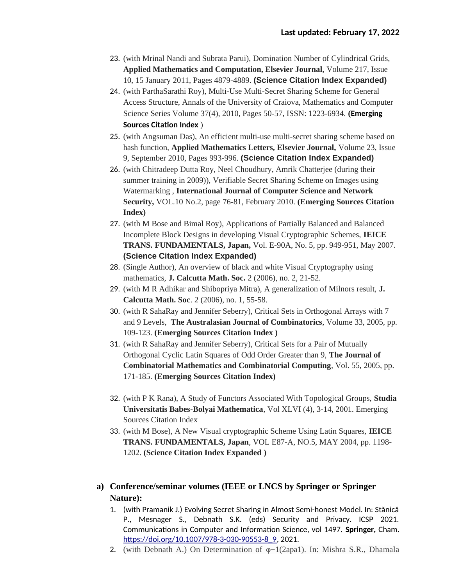- 23. (with Mrinal Nandi and Subrata Parui), Domination Number of Cylindrical Grids, **Applied Mathematics and Computation, Elsevier Journal,** Volume 217, Issue 10, 15 January 2011, Pages 4879-4889. **(Science Citation Index Expanded)**
- 24. (with ParthaSarathi Roy), Multi-Use Multi-Secret Sharing Scheme for General Access Structure, Annals of the University of Craiova, Mathematics and Computer Science Series Volume 37(4), 2010, Pages 50-57, ISSN: 1223-6934. **(Emerging Sources Citation Index** )
- 25. (with Angsuman Das), An efficient multi-use multi-secret sharing scheme based on hash function, **Applied Mathematics Letters, Elsevier Journal,** Volume 23, Issue 9, September 2010, Pages 993-996. **(Science Citation Index Expanded)**
- 26. (with Chitradeep Dutta Roy, Neel Choudhury, Amrik Chatterjee (during their summer training in 2009)), Verifiable Secret Sharing Scheme on Images using Watermarking , **International Journal of Computer Science and Network Security,** VOL.10 No.2, page 76-81, February 2010. **(Emerging Sources Citation Index)**
- 27. (with M Bose and Bimal Roy), Applications of Partially Balanced and Balanced Incomplete Block Designs in developing Visual Cryptographic Schemes, **IEICE TRANS. FUNDAMENTALS, Japan,** Vol. E-90A, No. 5, pp. 949-951, May 2007. **(Science Citation Index Expanded)**
- 28. (Single Author), An overview of black and white Visual Cryptography using mathematics, **J. Calcutta Math. Soc.** 2 (2006), no. 2, 21-52.
- 29. (with M R Adhikar and Shibopriya Mitra), A generalization of Milnors result, **J. Calcutta Math. Soc**. 2 (2006), no. 1, 55-58.
- 30. (with R SahaRay and Jennifer Seberry), Critical Sets in Orthogonal Arrays with 7 and 9 Levels, **The Australasian Journal of Combinatorics**, Volume 33, 2005, pp. 109-123. **(Emerging Sources Citation Index )**
- 31. (with R SahaRay and Jennifer Seberry), Critical Sets for a Pair of Mutually Orthogonal Cyclic Latin Squares of Odd Order Greater than 9, **The Journal of Combinatorial Mathematics and Combinatorial Computing**, Vol. 55, 2005, pp. 171-185. **(Emerging Sources Citation Index)**
- 32. (with P K Rana), A Study of Functors Associated With Topological Groups, **Studia Universitatis Babes-Bolyai Mathematica**, Vol XLVI (4), 3-14, 2001. Emerging Sources Citation Index
- 33. (with M Bose), A New Visual cryptographic Scheme Using Latin Squares, **IEICE TRANS. FUNDAMENTALS, Japan**, VOL E87-A, NO.5, MAY 2004, pp. 1198- 1202. **(Science Citation Index Expanded )**
- **a) Conference/seminar volumes (IEEE or LNCS by Springer or Springer Nature):**
	- 1. (with Pramanik J.) Evolving Secret Sharing in Almost Semi-honest Model. In: Stănică P., Mesnager S., Debnath S.K. (eds) Security and Privacy. ICSP 2021. Communications in Computer and Information Science, vol 1497. **Springer,** Cham. [https://doi.org/10.1007/978-3-030-90553-8\\_9](https://doi.org/10.1007/978-3-030-90553-8_9), 2021.
	- 2. (with Debnath A.) On Determination of φ−1(2apa1). In: Mishra S.R., Dhamala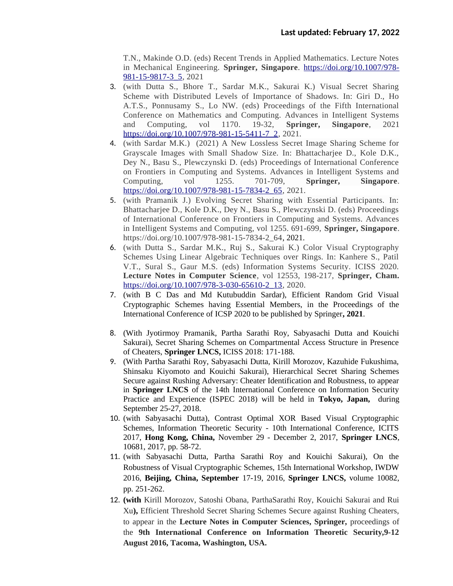T.N., Makinde O.D. (eds) Recent Trends in Applied Mathematics. Lecture Notes in Mechanical Engineering. **Springer, Singapore**. [https://doi.org/10.1007/978-](https://doi.org/10.1007/978-981-15-9817-3_5) [981-15-9817-3\\_5,](https://doi.org/10.1007/978-981-15-9817-3_5) 2021

- 3. (with Dutta S., Bhore T., Sardar M.K., Sakurai K.) Visual Secret Sharing Scheme with Distributed Levels of Importance of Shadows. In: Giri D., Ho A.T.S., Ponnusamy S., Lo NW. (eds) Proceedings of the Fifth International Conference on Mathematics and Computing. Advances in Intelligent Systems and Computing, vol 1170. 19-32, **Springer, Singapore**, 2021 [https://doi.org/10.1007/978-981-15-5411-7\\_2](https://doi.org/10.1007/978-981-15-5411-7_2), 2021.
- 4. (with Sardar M.K.) (2021) A New Lossless Secret Image Sharing Scheme for Grayscale Images with Small Shadow Size. In: Bhattacharjee D., Kole D.K., Dey N., Basu S., Plewczynski D. (eds) Proceedings of International Conference on Frontiers in Computing and Systems. Advances in Intelligent Systems and Computing, vol 1255. 701-709, **Springer, Singapore**. [https://doi.org/10.1007/978-981-15-7834-2\\_65](https://doi.org/10.1007/978-981-15-7834-2_65), 2021.
- 5. (with Pramanik J.) Evolving Secret Sharing with Essential Participants. In: Bhattacharjee D., Kole D.K., Dey N., Basu S., Plewczynski D. (eds) Proceedings of International Conference on Frontiers in Computing and Systems. Advances in Intelligent Systems and Computing, vol 1255. 691-699, **Springer, Singapore**. https://doi.org/10.1007/978-981-15-7834-2\_64, 2021.
- 6. (with Dutta S., Sardar M.K., Ruj S., Sakurai K.) Color Visual Cryptography Schemes Using Linear Algebraic Techniques over Rings. In: Kanhere S., Patil V.T., Sural S., Gaur M.S. (eds) Information Systems Security. ICISS 2020. **Lecture Notes in Computer Science**, vol 12553, 198-217, **Springer, Cham.** [https://doi.org/10.1007/978-3-030-65610-2\\_13](https://doi.org/10.1007/978-3-030-65610-2_13), 2020.
- 7. (with B C Das and Md Kutubuddin Sardar), Efficient Random Grid Visual Cryptographic Schemes having Essential Members, in the Proceedings of the International Conference of ICSP 2020 to be published by Springer**, 2021**.
- 8. (With Jyotirmoy Pramanik, Partha Sarathi Roy, Sabyasachi Dutta and Kouichi Sakurai), Secret Sharing Schemes on Compartmental Access Structure in Presence of Cheaters, **Springer LNCS,** ICISS 2018: 171-188.
- 9. (With Partha Sarathi Roy, Sabyasachi Dutta, Kirill Morozov, Kazuhide Fukushima, Shinsaku Kiyomoto and Kouichi Sakurai), Hierarchical Secret Sharing Schemes Secure against Rushing Adversary: Cheater Identification and Robustness, to appear in **Springer LNCS** of the 14th International Conference on Information Security Practice and Experience (ISPEC 2018) will be held in **Tokyo, Japan,** during September 25-27, 2018.
- 10. (with Sabyasachi Dutta), Contrast Optimal XOR Based Visual Cryptographic Schemes, Information Theoretic Security - 10th International Conference, ICITS 2017, **Hong Kong, China,** November 29 - December 2, 2017, **Springer LNCS**, 10681, 2017, pp. 58-72.
- 11. (with Sabyasachi Dutta, Partha Sarathi Roy and Kouichi Sakurai), On the Robustness of Visual Cryptographic Schemes, 15th International Workshop, IWDW 2016, **Beijing, China, September** 17-19, 2016, **Springer LNCS,** volume 10082, pp. 251-262.
- 12. **(with** Kirill Morozov, Satoshi Obana, ParthaSarathi Roy, Kouichi Sakurai and Rui Xu**),** Efficient Threshold Secret Sharing Schemes Secure against Rushing Cheaters, to appear in the **Lecture Notes in Computer Sciences, Springer,** proceedings of the **9th International Conference on Information Theoretic Security,9-12 August 2016, Tacoma, Washington, USA.**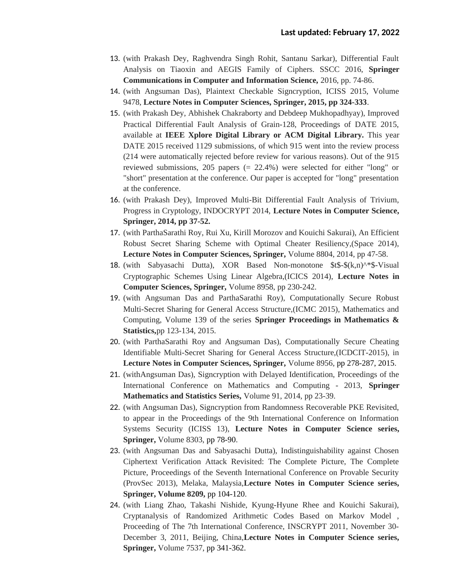- 13. (with Prakash Dey, Raghvendra Singh Rohit, Santanu Sarkar), Differential Fault Analysis on Tiaoxin and AEGIS Family of Ciphers. SSCC 2016, **Springer Communications in Computer and Information Science,** 2016, pp. 74-86.
- 14. (with Angsuman Das), Plaintext Checkable Signcryption, ICISS 2015, Volume 9478, **Lecture Notes in Computer Sciences, Springer, 2015, pp 324-333**.
- 15. (with Prakash Dey, Abhishek Chakraborty and Debdeep Mukhopadhyay), Improved Practical Differential Fault Analysis of Grain-128, Proceedings of DATE 2015, available at **IEEE Xplore Digital Library or ACM Digital Library.** This year DATE 2015 received 1129 submissions, of which 915 went into the review process (214 were automatically rejected before review for various reasons). Out of the 915 reviewed submissions, 205 papers (= 22.4%) were selected for either "long" or "short" presentation at the conference. Our paper is accepted for "long" presentation at the conference.
- 16. (with Prakash Dey), Improved Multi-Bit Differential Fault Analysis of Trivium, Progress in Cryptology, INDOCRYPT 2014, **Lecture Notes in Computer Science, Springer, 2014, pp 37-52.**
- 17. (with ParthaSarathi Roy, Rui Xu, Kirill Morozov and Kouichi Sakurai), An Efficient Robust Secret Sharing Scheme with Optimal Cheater Resiliency,(Space 2014), **Lecture Notes in Computer Sciences, Springer,** Volume 8804, 2014, pp 47-58.
- 18. (with Sabyasachi Dutta), XOR Based Non-monotone \$t\$-\$(k,n)^\*\$-Visual Cryptographic Schemes Using Linear Algebra,(ICICS 2014), **Lecture Notes in Computer Sciences, Springer,** Volume 8958, pp 230-242.
- 19. (with Angsuman Das and ParthaSarathi Roy), Computationally Secure Robust Multi-Secret Sharing for General Access Structure,(ICMC 2015), Mathematics and Computing, Volume 139 of the series **Springer Proceedings in Mathematics & Statistics,**pp 123-134, 2015.
- 20. (with ParthaSarathi Roy and Angsuman Das), Computationally Secure Cheating Identifiable Multi-Secret Sharing for General Access Structure,(ICDCIT-2015), in **Lecture Notes in Computer Sciences, Springer,** Volume 8956, pp 278-287, 2015.
- 21. (withAngsuman Das), Signcryption with Delayed Identification, Proceedings of the International Conference on Mathematics and Computing - 2013, **Springer Mathematics and Statistics Series,** Volume 91, 2014, pp 23-39.
- 22. (with Angsuman Das), Signcryption from Randomness Recoverable PKE Revisited, to appear in the Proceedings of the 9th International Conference on Information Systems Security (ICISS 13), **Lecture Notes in Computer Science series, Springer,** Volume 8303, pp 78-90.
- 23. (with Angsuman Das and Sabyasachi Dutta), Indistinguishability against Chosen Ciphertext Verification Attack Revisited: The Complete Picture, The Complete Picture, Proceedings of the Seventh International Conference on Provable Security (ProvSec 2013), Melaka, Malaysia,**Lecture Notes in Computer Science series, Springer, Volume 8209,** pp 104-120.
- 24. (with Liang Zhao, Takashi Nishide, Kyung-Hyune Rhee and Kouichi Sakurai), Cryptanalysis of Randomized Arithmetic Codes Based on Markov Model , Proceeding of The 7th International Conference, INSCRYPT 2011, November 30- December 3, 2011, Beijing, China,**Lecture Notes in Computer Science series, Springer,** Volume 7537, pp 341-362.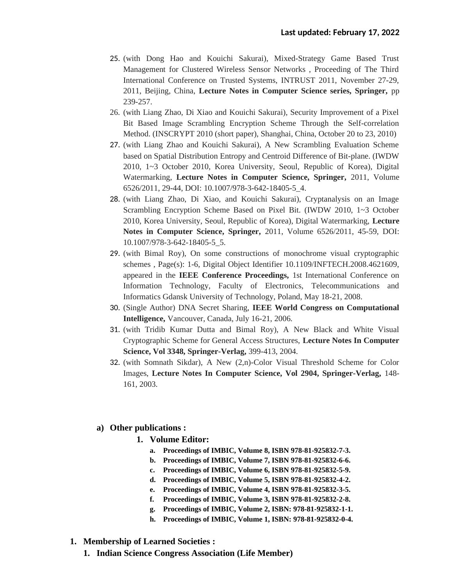- 25. (with Dong Hao and Kouichi Sakurai), Mixed-Strategy Game Based Trust Management for Clustered Wireless Sensor Networks , Proceeding of The Third International Conference on Trusted Systems, INTRUST 2011, November 27-29, 2011, Beijing, China, **Lecture Notes in Computer Science series, Springer,** pp 239-257.
- 26. (with Liang Zhao, Di Xiao and Kouichi Sakurai), Security Improvement of a Pixel Bit Based Image Scrambling Encryption Scheme Through the Self-correlation Method. (INSCRYPT 2010 (short paper), Shanghai, China, October 20 to 23, 2010)
- 27. (with Liang Zhao and Kouichi Sakurai), A New Scrambling Evaluation Scheme based on Spatial Distribution Entropy and Centroid Difference of Bit-plane. (IWDW 2010, 1~3 October 2010, Korea University, Seoul, Republic of Korea), Digital Watermarking, **Lecture Notes in Computer Science, Springer,** 2011, Volume 6526/2011, 29-44, DOI: 10.1007/978-3-642-18405-5\_4.
- 28. (with Liang Zhao, Di Xiao, and Kouichi Sakurai), Cryptanalysis on an Image Scrambling Encryption Scheme Based on Pixel Bit. (IWDW 2010, 1~3 October 2010, Korea University, Seoul, Republic of Korea), Digital Watermarking, **Lecture Notes in Computer Science, Springer,** 2011, Volume 6526/2011, 45-59, DOI: 10.1007/978-3-642-18405-5\_5.
- 29. (with Bimal Roy), On some constructions of monochrome visual cryptographic schemes , Page(s): 1-6, Digital Object Identifier 10.1109/INFTECH.2008.4621609, appeared in the **IEEE Conference Proceedings,** 1st International Conference on Information Technology, Faculty of Electronics, Telecommunications and Informatics Gdansk University of Technology, Poland, May 18-21, 2008.
- 30. (Single Author) DNA Secret Sharing, **IEEE World Congress on Computational Intelligence,** Vancouver, Canada, July 16-21, 2006.
- 31. (with Tridib Kumar Dutta and Bimal Roy), A New Black and White Visual Cryptographic Scheme for General Access Structures, **Lecture Notes In Computer Science, Vol 3348, Springer-Verlag,** 399-413, 2004.
- 32. (with Somnath Sikdar), A New (2,n)-Color Visual Threshold Scheme for Color Images, **Lecture Notes In Computer Science, Vol 2904, Springer-Verlag,** 148- 161, 2003.

#### **a) Other publications :**

- **1. Volume Editor:**
	- **a. Proceedings of IMBIC, Volume 8, ISBN 978-81-925832-7-3.**
	- **b. Proceedings of IMBIC, Volume 7, ISBN 978-81-925832-6-6.**
	- **c. Proceedings of IMBIC, Volume 6, ISBN 978-81-925832-5-9.**
	- **d. Proceedings of IMBIC, Volume 5, ISBN 978-81-925832-4-2.**
	- **e. Proceedings of IMBIC, Volume 4, ISBN 978-81-925832-3-5.**
	- **f. Proceedings of IMBIC, Volume 3, ISBN 978-81-925832-2-8.**
	- **g. Proceedings of IMBIC, Volume 2, ISBN: 978-81-925832-1-1.**
	- **h. Proceedings of IMBIC, Volume 1, ISBN: 978-81-925832-0-4.**
- **1. Membership of Learned Societies :**
	- **1. Indian Science Congress Association (Life Member)**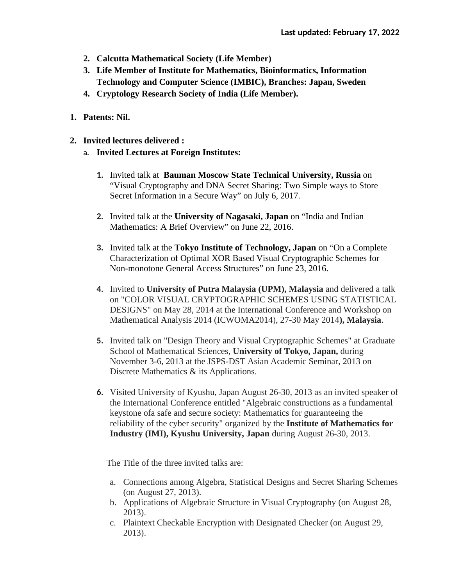- **2. Calcutta Mathematical Society (Life Member)**
- **3. Life Member of Institute for Mathematics, Bioinformatics, Information Technology and Computer Science (IMBIC), Branches: Japan, Sweden**
- **4. Cryptology Research Society of India (Life Member).**
- **1. Patents: Nil.**
- **2. Invited lectures delivered :**
	- a. **Invited Lectures at Foreign Institutes:** 
		- **1.** Invited talk at **Bauman Moscow State Technical University, Russia** on "Visual Cryptography and DNA Secret Sharing: Two Simple ways to Store Secret Information in a Secure Way" on July 6, 2017.
		- **2.** Invited talk at the **University of Nagasaki, Japan** on "India and Indian Mathematics: A Brief Overview" on June 22, 2016.
		- **3.** Invited talk at the **Tokyo Institute of Technology, Japan** on "On a Complete Characterization of Optimal XOR Based Visual Cryptographic Schemes for Non-monotone General Access Structures" on June 23, 2016.
		- **4.** Invited to **University of Putra Malaysia (UPM), Malaysia** and delivered a talk on "COLOR VISUAL CRYPTOGRAPHIC SCHEMES USING STATISTICAL DESIGNS" on May 28, 2014 at the International Conference and Workshop on Mathematical Analysis 2014 (ICWOMA2014), 27-30 May 2014**), Malaysia**.
		- **5.** Invited talk on "Design Theory and Visual Cryptographic Schemes" at Graduate School of Mathematical Sciences, **University of Tokyo, Japan,** during November 3-6, 2013 at the JSPS-DST Asian Academic Seminar, 2013 on Discrete Mathematics & its Applications.
		- **6.** Visited University of Kyushu, Japan August 26-30, 2013 as an invited speaker of the International Conference entitled "Algebraic constructions as a fundamental keystone ofa safe and secure society: Mathematics for guaranteeing the reliability of the cyber security" organized by the **Institute of Mathematics for Industry (IMI), Kyushu University, Japan** during August 26-30, 2013.

The Title of the three invited talks are:

- a. Connections among Algebra, Statistical Designs and Secret Sharing Schemes (on August 27, 2013).
- b. Applications of Algebraic Structure in Visual Cryptography (on August 28, 2013).
- c. Plaintext Checkable Encryption with Designated Checker (on August 29, 2013).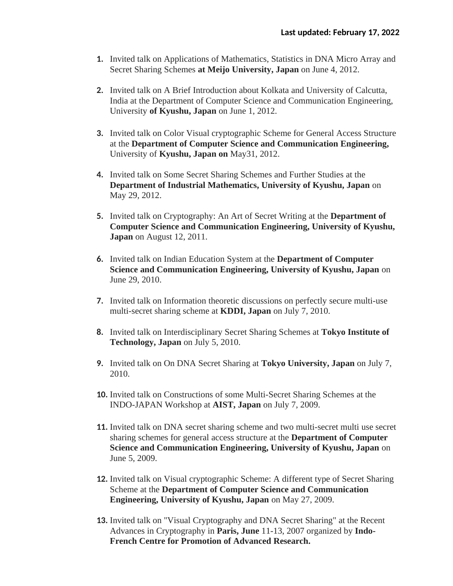- **1.** Invited talk on Applications of Mathematics, Statistics in DNA Micro Array and Secret Sharing Schemes **at Meijo University, Japan** on June 4, 2012.
- **2.** Invited talk on A Brief Introduction about Kolkata and University of Calcutta, India at the Department of Computer Science and Communication Engineering, University **of Kyushu, Japan** on June 1, 2012.
- **3.** Invited talk on Color Visual cryptographic Scheme for General Access Structure at the **Department of Computer Science and Communication Engineering,** University of **Kyushu, Japan on** May31, 2012.
- **4.** Invited talk on Some Secret Sharing Schemes and Further Studies at the **Department of Industrial Mathematics, University of Kyushu, Japan** on May 29, 2012.
- **5.** Invited talk on Cryptography: An Art of Secret Writing at the **Department of Computer Science and Communication Engineering, University of Kyushu, Japan** on August 12, 2011.
- **6.** Invited talk on Indian Education System at the **Department of Computer Science and Communication Engineering, University of Kyushu, Japan** on June 29, 2010.
- **7.** Invited talk on Information theoretic discussions on perfectly secure multi-use multi-secret sharing scheme at **KDDI, Japan** on July 7, 2010.
- **8.** Invited talk on Interdisciplinary Secret Sharing Schemes at **Tokyo Institute of Technology, Japan** on July 5, 2010.
- **9.** Invited talk on On DNA Secret Sharing at **Tokyo University, Japan** on July 7, 2010.
- **10.** Invited talk on Constructions of some Multi-Secret Sharing Schemes at the INDO-JAPAN Workshop at **AIST, Japan** on July 7, 2009.
- **11.** Invited talk on DNA secret sharing scheme and two multi-secret multi use secret sharing schemes for general access structure at the **Department of Computer Science and Communication Engineering, University of Kyushu, Japan** on June 5, 2009.
- **12.** Invited talk on Visual cryptographic Scheme: A different type of Secret Sharing Scheme at the **Department of Computer Science and Communication Engineering, University of Kyushu, Japan** on May 27, 2009.
- **13.** Invited talk on "Visual Cryptography and DNA Secret Sharing" at the Recent Advances in Cryptography in **Paris, June** 11-13, 2007 organized by **Indo-French Centre for Promotion of Advanced Research.**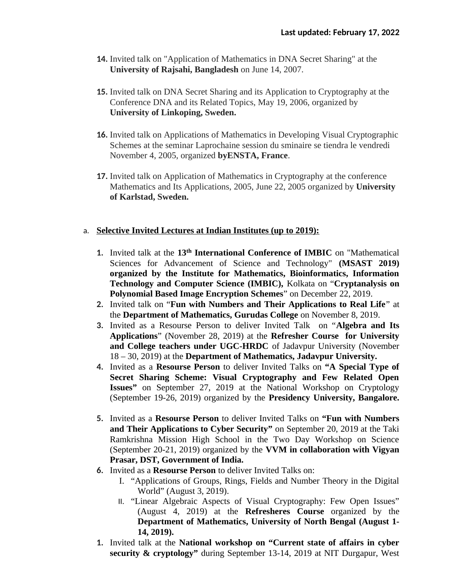- **14.** Invited talk on "Application of Mathematics in DNA Secret Sharing" at the **University of Rajsahi, Bangladesh** on June 14, 2007.
- **15.** Invited talk on DNA Secret Sharing and its Application to Cryptography at the Conference DNA and its Related Topics, May 19, 2006, organized by **University of Linkoping, Sweden.**
- **16.** Invited talk on Applications of Mathematics in Developing Visual Cryptographic Schemes at the seminar Laprochaine session du sminaire se tiendra le vendredi November 4, 2005, organized **byENSTA, France**.
- **17.** Invited talk on Application of Mathematics in Cryptography at the conference Mathematics and Its Applications, 2005, June 22, 2005 organized by **University of Karlstad, Sweden.**

#### a. **Selective Invited Lectures at Indian Institutes (up to 2019):**

- **1.** Invited talk at the **13th International Conference of IMBIC** on "Mathematical Sciences for Advancement of Science and Technology" **(MSAST 2019) organized by the Institute for Mathematics, Bioinformatics, Information Technology and Computer Science (IMBIC),** Kolkata on "**Cryptanalysis on Polynomial Based Image Encryption Schemes**" on December 22, 2019.
- **2.** Invited talk on "**Fun with Numbers and Their Applications to Real Life**" at the **Department of Mathematics, Gurudas College** on November 8, 2019.
- **3.** Invited as a Resourse Person to deliver Invited Talk on "**Algebra and Its Applications**" (November 28, 2019) at the **Refresher Course for University and College teachers under UGC-HRDC** of Jadavpur University (November 18 – 30, 2019) at the **Department of Mathematics, Jadavpur University.**
- **4.** Invited as a **Resourse Person** to deliver Invited Talks on **"A Special Type of Secret Sharing Scheme: Visual Cryptography and Few Related Open Issues"** on September 27, 2019 at the National Workshop on Cryptology (September 19-26, 2019) organized by the **Presidency University, Bangalore.**
- **5.** Invited as a **Resourse Person** to deliver Invited Talks on **"Fun with Numbers and Their Applications to Cyber Security"** on September 20, 2019 at the Taki Ramkrishna Mission High School in the Two Day Workshop on Science (September 20-21, 2019) organized by the **VVM in collaboration with Vigyan Prasar, DST, Government of India.**
- **6.** Invited as a **Resourse Person** to deliver Invited Talks on:
	- I. "Applications of Groups, Rings, Fields and Number Theory in the Digital World" (August 3, 2019).
	- II. "Linear Algebraic Aspects of Visual Cryptography: Few Open Issues" (August 4, 2019) at the **Refresheres Course** organized by the **Department of Mathematics, University of North Bengal (August 1- 14, 2019).**
- **1.** Invited talk at the **National workshop on "Current state of affairs in cyber security & cryptology"** during September 13-14, 2019 at NIT Durgapur, West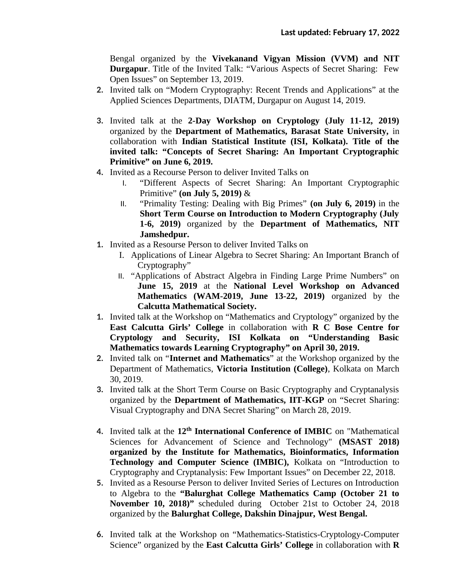Bengal organized by the **Vivekanand Vigyan Mission (VVM) and NIT Durgapur**. Title of the Invited Talk: "Various Aspects of Secret Sharing: Few Open Issues" on September 13, 2019.

- **2.** Invited talk on "Modern Cryptography: Recent Trends and Applications" at the Applied Sciences Departments, DIATM, Durgapur on August 14, 2019.
- **3.** Invited talk at the **2-Day Workshop on Cryptology (July 11-12, 2019)** organized by the **Department of Mathematics, Barasat State University,** in collaboration with **Indian Statistical Institute (ISI, Kolkata). Title of the invited talk: "Concepts of Secret Sharing: An Important Cryptographic Primitive" on June 6, 2019.**
- **4.** Invited as a Recourse Person to deliver Invited Talks on
	- I. "Different Aspects of Secret Sharing: An Important Cryptographic Primitive" **(on July 5, 2019)** &
	- II. "Primality Testing: Dealing with Big Primes" **(on July 6, 2019)** in the **Short Term Course on Introduction to Modern Cryptography (July 1-6, 2019)** organized by the **Department of Mathematics, NIT Jamshedpur.**
- **1.** Invited as a Resourse Person to deliver Invited Talks on
	- I. Applications of Linear Algebra to Secret Sharing: An Important Branch of Cryptography"
	- II. "Applications of Abstract Algebra in Finding Large Prime Numbers" on **June 15, 2019** at the **National Level Workshop on Advanced Mathematics (WAM-2019, June 13-22, 2019)** organized by the **Calcutta Mathematical Society.**
- **1.** Invited talk at the Workshop on "Mathematics and Cryptology" organized by the **East Calcutta Girls' College** in collaboration with **R C Bose Centre for Cryptology and Security, ISI Kolkata on "Understanding Basic Mathematics towards Learning Cryptography" on April 30, 2019.**
- **2.** Invited talk on "**Internet and Mathematics**" at the Workshop organized by the Department of Mathematics, **Victoria Institution (College)**, Kolkata on March 30, 2019.
- **3.** Invited talk at the Short Term Course on Basic Cryptography and Cryptanalysis organized by the **Department of Mathematics, IIT-KGP** on "Secret Sharing: Visual Cryptography and DNA Secret Sharing" on March 28, 2019.
- **4.** Invited talk at the **12th International Conference of IMBIC** on "Mathematical Sciences for Advancement of Science and Technology" **(MSAST 2018) organized by the Institute for Mathematics, Bioinformatics, Information Technology and Computer Science (IMBIC),** Kolkata on "Introduction to Cryptography and Cryptanalysis: Few Important Issues" on December 22, 2018.
- **5.** Invited as a Resourse Person to deliver Invited Series of Lectures on Introduction to Algebra to the **"Balurghat College Mathematics Camp (October 21 to November 10, 2018)"** scheduled during October 21st to October 24, 2018 organized by the **Balurghat College, Dakshin Dinajpur, West Bengal.**
- **6.** Invited talk at the Workshop on "Mathematics-Statistics-Cryptology-Computer Science" organized by the **East Calcutta Girls' College** in collaboration with **R**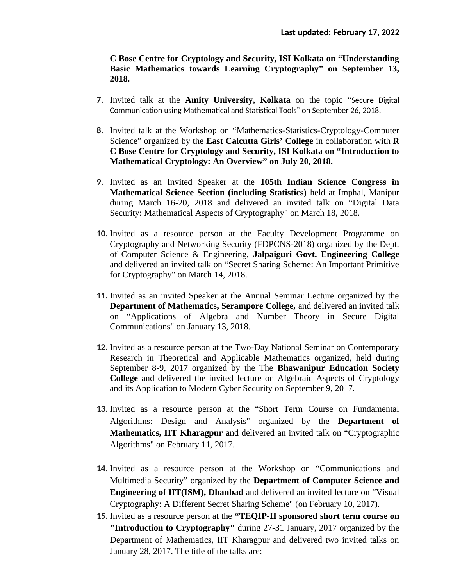**C Bose Centre for Cryptology and Security, ISI Kolkata on "Understanding Basic Mathematics towards Learning Cryptography" on September 13, 2018.**

- **7.** Invited talk at the **Amity University, Kolkata** on the topic "Secure Digital Communication using Mathematical and Statistical Tools" on September 26, 2018.
- **8.** Invited talk at the Workshop on "Mathematics-Statistics-Cryptology-Computer Science" organized by the **East Calcutta Girls' College** in collaboration with **R C Bose Centre for Cryptology and Security, ISI Kolkata on "Introduction to Mathematical Cryptology: An Overview" on July 20, 2018.**
- **9.** Invited as an Invited Speaker at the **105th Indian Science Congress in Mathematical Science Section (including Statistics)** held at Imphal, Manipur during March 16-20, 2018 and delivered an invited talk on "Digital Data Security: Mathematical Aspects of Cryptography" on March 18, 2018.
- **10.** Invited as a resource person at the Faculty Development Programme on Cryptography and Networking Security (FDPCNS-2018) organized by the Dept. of Computer Science & Engineering, **Jalpaiguri Govt. Engineering College** and delivered an invited talk on "Secret Sharing Scheme: An Important Primitive for Cryptography" on March 14, 2018.
- **11.** Invited as an invited Speaker at the Annual Seminar Lecture organized by the **Department of Mathematics, Serampore College,** and delivered an invited talk on "Applications of Algebra and Number Theory in Secure Digital Communications" on January 13, 2018.
- **12.** Invited as a resource person at the Two-Day National Seminar on Contemporary Research in Theoretical and Applicable Mathematics organized, held during September 8-9, 2017 organized by the The **Bhawanipur Education Society College** and delivered the invited lecture on Algebraic Aspects of Cryptology and its Application to Modern Cyber Security on September 9, 2017.
- **13.** Invited as a resource person at the "Short Term Course on Fundamental Algorithms: Design and Analysis" organized by the **Department of Mathematics, IIT Kharagpur** and delivered an invited talk on "Cryptographic Algorithms" on February 11, 2017.
- **14.** Invited as a resource person at the Workshop on "Communications and Multimedia Security" organized by the **Department of Computer Science and Engineering of IIT(ISM), Dhanbad** and delivered an invited lecture on "Visual Cryptography: A Different Secret Sharing Scheme" (on February 10, 2017).
- **15.** Invited as a resource person at the **"TEQIP-II sponsored short term course on "Introduction to Cryptography"** during 27-31 January, 2017 organized by the Department of Mathematics, IIT Kharagpur and delivered two invited talks on January 28, 2017. The title of the talks are: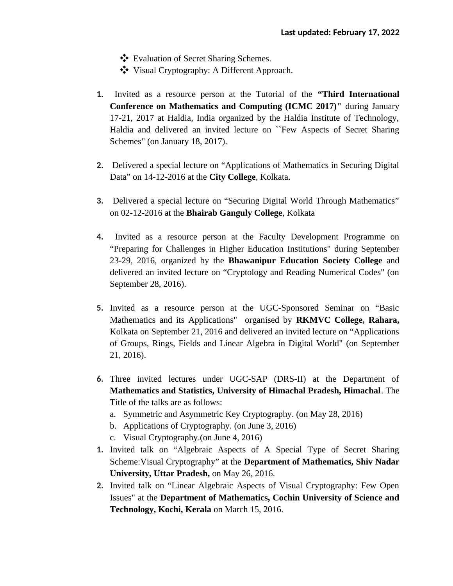- ❖ Evaluation of Secret Sharing Schemes.
- ❖ Visual Cryptography: A Different Approach.
- **1.** Invited as a resource person at the Tutorial of the **"Third International Conference on Mathematics and Computing (ICMC 2017)"** during January 17-21, 2017 at Haldia, India organized by the Haldia Institute of Technology, Haldia and delivered an invited lecture on ``Few Aspects of Secret Sharing Schemes" (on January 18, 2017).
- **2.** Delivered a special lecture on "Applications of Mathematics in Securing Digital Data" on 14-12-2016 at the **City College**, Kolkata.
- **3.** Delivered a special lecture on "Securing Digital World Through Mathematics" on 02-12-2016 at the **Bhairab Ganguly College**, Kolkata
- **4.** Invited as a resource person at the Faculty Development Programme on "Preparing for Challenges in Higher Education Institutions" during September 23-29, 2016, organized by the **Bhawanipur Education Society College** and delivered an invited lecture on "Cryptology and Reading Numerical Codes" (on September 28, 2016).
- **5.** Invited as a resource person at the UGC-Sponsored Seminar on "Basic Mathematics and its Applications" organised by **RKMVC College, Rahara,** Kolkata on September 21, 2016 and delivered an invited lecture on "Applications of Groups, Rings, Fields and Linear Algebra in Digital World" (on September 21, 2016).
- **6.** Three invited lectures under UGC-SAP (DRS-II) at the Department of **Mathematics and Statistics, University of Himachal Pradesh, Himachal**. The Title of the talks are as follows:
	- a. Symmetric and Asymmetric Key Cryptography. (on May 28, 2016)
	- b. Applications of Cryptography. (on June 3, 2016)
	- c. Visual Cryptography.(on June 4, 2016)
- **1.** Invited talk on "Algebraic Aspects of A Special Type of Secret Sharing Scheme:Visual Cryptography" at the **Department of Mathematics, Shiv Nadar University, Uttar Pradesh,** on May 26, 2016.
- **2.** Invited talk on "Linear Algebraic Aspects of Visual Cryptography: Few Open Issues" at the **Department of Mathematics, Cochin University of Science and Technology, Kochi, Kerala** on March 15, 2016.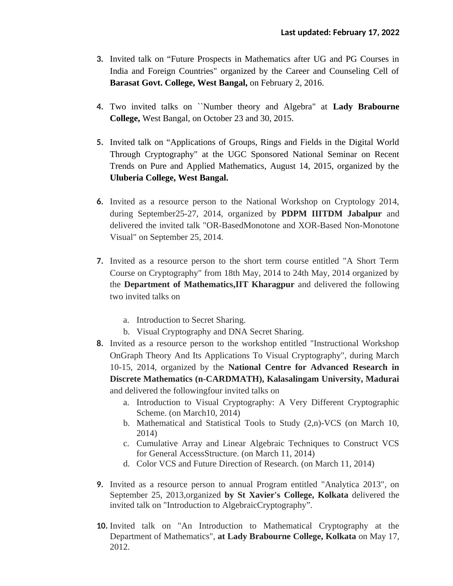- **3.** Invited talk on "Future Prospects in Mathematics after UG and PG Courses in India and Foreign Countries" organized by the Career and Counseling Cell of **Barasat Govt. College, West Bangal,** on February 2, 2016.
- **4.** Two invited talks on ``Number theory and Algebra" at **Lady Brabourne College,** West Bangal, on October 23 and 30, 2015.
- **5.** Invited talk on "Applications of Groups, Rings and Fields in the Digital World Through Cryptography" at the UGC Sponsored National Seminar on Recent Trends on Pure and Applied Mathematics, August 14, 2015, organized by the **Uluberia College, West Bangal.**
- **6.** Invited as a resource person to the National Workshop on Cryptology 2014, during September25-27, 2014, organized by **PDPM IIITDM Jabalpur** and delivered the invited talk "OR-BasedMonotone and XOR-Based Non-Monotone Visual" on September 25, 2014.
- **7.** Invited as a resource person to the short term course entitled "A Short Term Course on Cryptography" from 18th May, 2014 to 24th May, 2014 organized by the **Department of Mathematics,IIT Kharagpur** and delivered the following two invited talks on
	- a. Introduction to Secret Sharing.
	- b. Visual Cryptography and DNA Secret Sharing.
- **8.** Invited as a resource person to the workshop entitled "Instructional Workshop OnGraph Theory And Its Applications To Visual Cryptography", during March 10-15, 2014, organized by the **National Centre for Advanced Research in Discrete Mathematics (n-CARDMATH), Kalasalingam University, Madurai** and delivered the followingfour invited talks on
	- a. Introduction to Visual Cryptography: A Very Different Cryptographic Scheme. (on March10, 2014)
	- b. Mathematical and Statistical Tools to Study (2,n)-VCS (on March 10, 2014)
	- c. Cumulative Array and Linear Algebraic Techniques to Construct VCS for General AccessStructure. (on March 11, 2014)
	- d. Color VCS and Future Direction of Research. (on March 11, 2014)
- **9.** Invited as a resource person to annual Program entitled "Analytica 2013", on September 25, 2013,organized **by St Xavier's College, Kolkata** delivered the invited talk on "Introduction to AlgebraicCryptography".
- **10.** Invited talk on "An Introduction to Mathematical Cryptography at the Department of Mathematics", **at Lady Brabourne College, Kolkata** on May 17, 2012.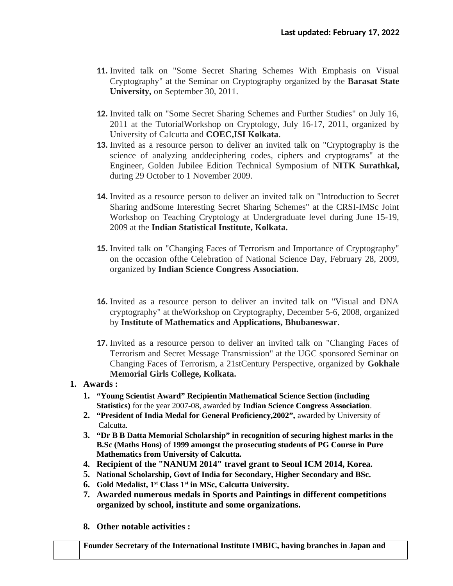- **11.** Invited talk on "Some Secret Sharing Schemes With Emphasis on Visual Cryptography" at the Seminar on Cryptography organized by the **Barasat State University,** on September 30, 2011.
- **12.** Invited talk on "Some Secret Sharing Schemes and Further Studies" on July 16, 2011 at the TutorialWorkshop on Cryptology, July 16-17, 2011, organized by University of Calcutta and **COEC,ISI Kolkata**.
- **13.** Invited as a resource person to deliver an invited talk on "Cryptography is the science of analyzing anddeciphering codes, ciphers and cryptograms" at the Engineer, Golden Jubilee Edition Technical Symposium of **NITK Surathkal,** during 29 October to 1 November 2009.
- **14.** Invited as a resource person to deliver an invited talk on "Introduction to Secret Sharing andSome Interesting Secret Sharing Schemes" at the CRSI-IMSc Joint Workshop on Teaching Cryptology at Undergraduate level during June 15-19, 2009 at the **Indian Statistical Institute, Kolkata.**
- **15.** Invited talk on "Changing Faces of Terrorism and Importance of Cryptography" on the occasion ofthe Celebration of National Science Day, February 28, 2009, organized by **Indian Science Congress Association.**
- **16.** Invited as a resource person to deliver an invited talk on "Visual and DNA cryptography" at theWorkshop on Cryptography, December 5-6, 2008, organized by **Institute of Mathematics and Applications, Bhubaneswar**.
- **17.** Invited as a resource person to deliver an invited talk on "Changing Faces of Terrorism and Secret Message Transmission" at the UGC sponsored Seminar on Changing Faces of Terrorism, a 21stCentury Perspective, organized by **Gokhale Memorial Girls College, Kolkata.**

## **1. Awards :**

- **1. "Young Scientist Award" Recipientin Mathematical Science Section (including Statistics)** for the year 2007-08, awarded by **Indian Science Congress Association**.
- **2. "President of India Medal for General Proficiency,2002",** awarded by University of Calcutta.
- **3. "Dr B B Datta Memorial Scholarship" in recognition of securing highest marks in the B.Sc (Maths Hons)** of **1999 amongst the prosecuting students of PG Course in Pure Mathematics from University of Calcutta.**
- **4. Recipient of the "NANUM 2014" travel grant to Seoul ICM 2014, Korea.**
- **5. National Scholarship, Govt of India for Secondary, Higher Secondary and BSc.**
- **6. Gold Medalist, 1 st Class 1st in MSc, Calcutta University.**
- **7. Awarded numerous medals in Sports and Paintings in different competitions organized by school, institute and some organizations.**
- **8. Other notable activities :**

**Founder Secretary of the International Institute IMBIC, having branches in Japan and**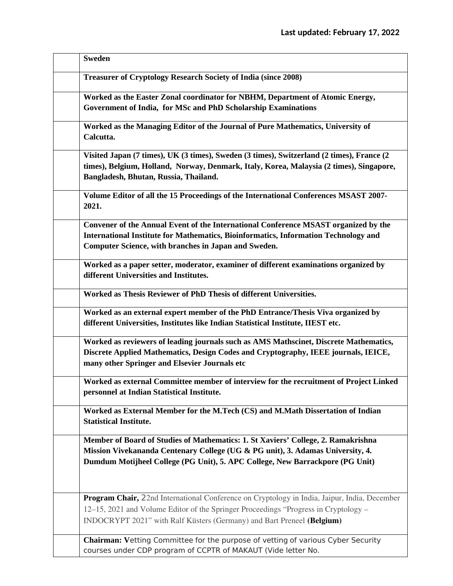| <b>Sweden</b>                                                                                                                                                                                                                                                        |
|----------------------------------------------------------------------------------------------------------------------------------------------------------------------------------------------------------------------------------------------------------------------|
| <b>Treasurer of Cryptology Research Society of India (since 2008)</b>                                                                                                                                                                                                |
| Worked as the Easter Zonal coordinator for NBHM, Department of Atomic Energy,<br>Government of India, for MSc and PhD Scholarship Examinations                                                                                                                       |
| Worked as the Managing Editor of the Journal of Pure Mathematics, University of<br>Calcutta.                                                                                                                                                                         |
| Visited Japan (7 times), UK (3 times), Sweden (3 times), Switzerland (2 times), France (2<br>times), Belgium, Holland, Norway, Denmark, Italy, Korea, Malaysia (2 times), Singapore,<br>Bangladesh, Bhutan, Russia, Thailand.                                        |
| Volume Editor of all the 15 Proceedings of the International Conferences MSAST 2007-<br>2021.                                                                                                                                                                        |
| <b>Convener of the Annual Event of the International Conference MSAST organized by the</b><br><b>International Institute for Mathematics, Bioinformatics, Information Technology and</b><br><b>Computer Science, with branches in Japan and Sweden.</b>              |
| Worked as a paper setter, moderator, examiner of different examinations organized by<br>different Universities and Institutes.                                                                                                                                       |
| Worked as Thesis Reviewer of PhD Thesis of different Universities.                                                                                                                                                                                                   |
| Worked as an external expert member of the PhD Entrance/Thesis Viva organized by<br>different Universities, Institutes like Indian Statistical Institute, IIEST etc.                                                                                                 |
| Worked as reviewers of leading journals such as AMS Mathscinet, Discrete Mathematics,<br>Discrete Applied Mathematics, Design Codes and Cryptography, IEEE journals, IEICE,<br>many other Springer and Elsevier Journals etc                                         |
| Worked as external Committee member of interview for the recruitment of Project Linked<br>personnel at Indian Statistical Institute.                                                                                                                                 |
| Worked as External Member for the M.Tech (CS) and M.Math Dissertation of Indian<br><b>Statistical Institute.</b>                                                                                                                                                     |
| Member of Board of Studies of Mathematics: 1. St Xaviers' College, 2. Ramakrishna<br>Mission Vivekananda Centenary College (UG & PG unit), 3. Adamas University, 4.<br>Dumdum Motijheel College (PG Unit), 5. APC College, New Barrackpore (PG Unit)                 |
| <b>Program Chair, 22nd International Conference on Cryptology in India, Jaipur, India, December</b><br>12–15, 2021 and Volume Editor of the Springer Proceedings "Progress in Cryptology –<br>INDOCRYPT 2021" with Ralf Küsters (Germany) and Bart Preneel (Belgium) |
| Chairman: Vetting Committee for the purpose of vetting of various Cyber Security<br>courses under CDP program of CCPTR of MAKAUT (Vide letter No.                                                                                                                    |